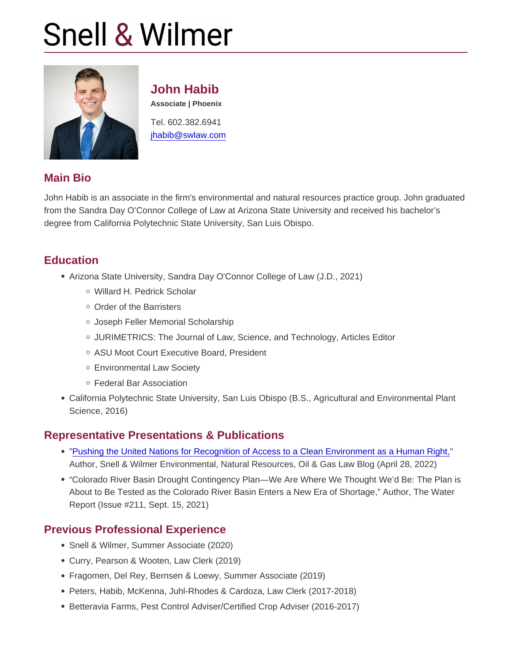## John Habib

Associate | Phoenix

Tel. 602.382.6941 [jhabib@swlaw.com](mailto:jhabib@swlaw.com)

## Main Bio

John Habib is an associate in the firm's environmental and natural resources practice group. John graduated from the Sandra Day O'Connor College of Law at Arizona State University and received his bachelor's degree from California Polytechnic State University, San Luis Obispo.

## **Education**

- Arizona State University, Sandra Day O'Connor College of Law (J.D., 2021)
	- Willard H. Pedrick Scholar
	- Order of the Barristers
	- Joseph Feller Memorial Scholarship
	- JURIMETRICS: The Journal of Law, Science, and Technology, Articles Editor
	- o ASU Moot Court Executive Board, President
	- Environmental Law Society
	- Federal Bar Association
- California Polytechnic State University, San Luis Obispo (B.S., Agricultural and Environmental Plant Science, 2016)

#### Representative Presentations & Publications

- ["Pushing the United Nations for Recognition of Access to a Clean Environment as a Human Right,](https://www.swlaw.com/blog/environmental-and-natural-resources/2022/04/28/pushing-the-united-nations-for-recognition-of-access-to-a-clean-environment-as-a-human-right/)" Author, Snell & Wilmer Environmental, Natural Resources, Oil & Gas Law Blog (April 28, 2022)
- "Colorado River Basin Drought Contingency Plan—We Are Where We Thought We'd Be: The Plan is About to Be Tested as the Colorado River Basin Enters a New Era of Shortage," Author, The Water Report (Issue #211, Sept. 15, 2021)

#### Previous Professional Experience

- Snell & Wilmer, Summer Associate (2020)
- Curry, Pearson & Wooten, Law Clerk (2019)
- Fragomen, Del Rey, Bernsen & Loewy, Summer Associate (2019)
- Peters, Habib, McKenna, Juhl-Rhodes & Cardoza, Law Clerk (2017-2018)
- Betteravia Farms, Pest Control Adviser/Certified Crop Adviser (2016-2017)